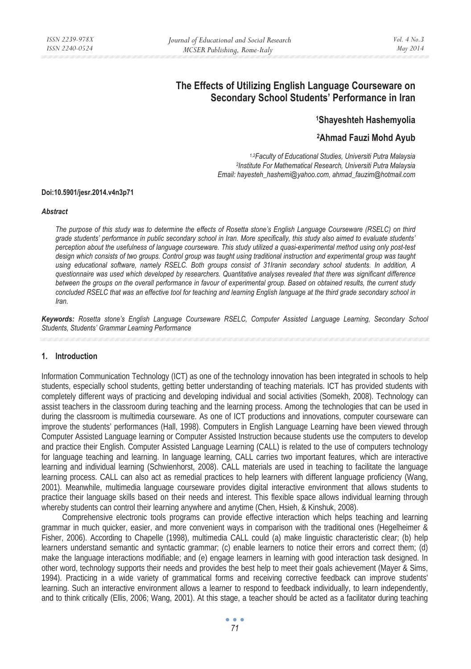# **The Effects of Utilizing English Language Courseware on Secondary School Students' Performance in Iran**

# **1Shayeshteh Hashemyolia**

# **2Ahmad Fauzi Mohd Ayub**

*1,2Faculty of Educational Studies, Universiti Putra Malaysia 2Institute For Mathematical Research, Universiti Putra Malaysia Email: hayesteh\_hashemi@yahoo.com, ahmad\_fauzim@hotmail.com* 

#### **Doi:10.5901/jesr.2014.v4n3p71**

#### *Abstract*

*The purpose of this study was to determine the effects of Rosetta stone's English Language Courseware (RSELC) on third grade students' performance in public secondary school in Iran. More specifically, this study also aimed to evaluate students' perception about the usefulness of language courseware. This study utilized a quasi-experimental method using only post-test design which consists of two groups. Control group was taught using traditional instruction and experimental group was taught using educational software, namely RSELC. Both groups consist of 31Iranin secondary school students. In addition, A questionnaire was used which developed by researchers. Quantitative analyses revealed that there was significant difference between the groups on the overall performance in favour of experimental group. Based on obtained results, the current study concluded RSELC that was an effective tool for teaching and learning English language at the third grade secondary school in Iran.* 

*Keywords: Rosetta stone's English Language Courseware RSELC, Computer Assisted Language Learning, Secondary School Students, Students' Grammar Learning Performance* 

#### **1. Introduction**

Information Communication Technology (ICT) as one of the technology innovation has been integrated in schools to help students, especially school students, getting better understanding of teaching materials. ICT has provided students with completely different ways of practicing and developing individual and social activities (Somekh, 2008). Technology can assist teachers in the classroom during teaching and the learning process. Among the technologies that can be used in during the classroom is multimedia courseware. As one of ICT productions and innovations, computer courseware can improve the students' performances (Hall, 1998). Computers in English Language Learning have been viewed through Computer Assisted Language learning or Computer Assisted Instruction because students use the computers to develop and practice their English. Computer Assisted Language Learning (CALL) is related to the use of computers technology for language teaching and learning. In language learning, CALL carries two important features, which are interactive learning and individual learning (Schwienhorst, 2008). CALL materials are used in teaching to facilitate the language learning process. CALL can also act as remedial practices to help learners with different language proficiency (Wang, 2001). Meanwhile, multimedia language courseware provides digital interactive environment that allows students to practice their language skills based on their needs and interest. This flexible space allows individual learning through whereby students can control their learning anywhere and anytime (Chen, Hsieh, & Kinshuk, 2008).

Comprehensive electronic tools programs can provide effective interaction which helps teaching and learning grammar in much quicker, easier, and more convenient ways in comparison with the traditional ones (Hegelheimer & Fisher, 2006). According to Chapelle (1998), multimedia CALL could (a) make linguistic characteristic clear; (b) help learners understand semantic and syntactic grammar; (c) enable learners to notice their errors and correct them; (d) make the language interactions modifiable; and (e) engage learners in learning with good interaction task designed. In other word, technology supports their needs and provides the best help to meet their goals achievement (Mayer & Sims, 1994). Practicing in a wide variety of grammatical forms and receiving corrective feedback can improve students' learning. Such an interactive environment allows a learner to respond to feedback individually, to learn independently, and to think critically (Ellis, 2006; Wang, 2001). At this stage, a teacher should be acted as a facilitator during teaching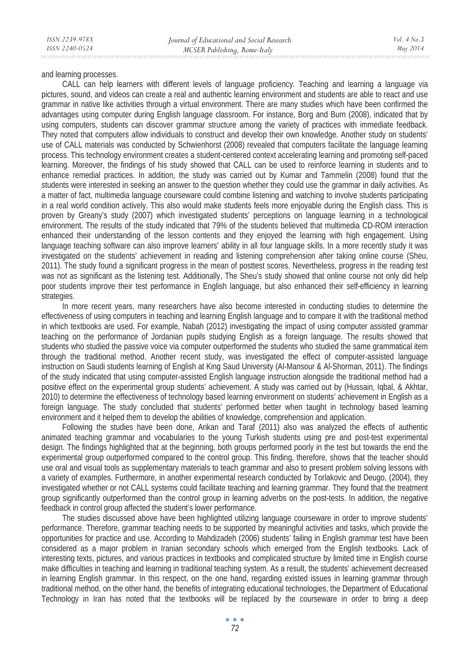and learning processes.

CALL can help learners with different levels of language proficiency. Teaching and learning a language via pictures, sound, and videos can create a real and authentic learning environment and students are able to react and use grammar in native like activities through a virtual environment. There are many studies which have been confirmed the advantages using computer during English language classroom. For instance, Borg and Burn (2008), indicated that by using computers, students can discover grammar structure among the variety of practices with immediate feedback. They noted that computers allow individuals to construct and develop their own knowledge. Another study on students' use of CALL materials was conducted by Schwienhorst (2008) revealed that computers facilitate the language learning process. This technology environment creates a student-centered context accelerating learning and promoting self-paced learning. Moreover, the findings of his study showed that CALL can be used to reinforce learning in students and to enhance remedial practices. In addition, the study was carried out by Kumar and Tammelin (2008) found that the students were interested in seeking an answer to the question whether they could use the grammar in daily activities. As a matter of fact, multimedia language courseware could combine listening and watching to involve students participating in a real world condition actively. This also would make students feels more enjoyable during the English class. This is proven by Greany's study (2007) which investigated students' perceptions on language learning in a technological environment. The results of the study indicated that 79% of the students believed that multimedia CD-ROM interaction enhanced their understanding of the lesson contents and they enjoyed the learning with high engagement. Using language teaching software can also improve learners' ability in all four language skills. In a more recently study it was investigated on the students' achievement in reading and listening comprehension after taking online course (Sheu, 2011). The study found a significant progress in the mean of posttest scores. Nevertheless, progress in the reading test was not as significant as the listening test. Additionally, The Sheu's study showed that online course not only did help poor students improve their test performance in English language, but also enhanced their self-efficiency in learning strategies.

In more recent years, many researchers have also become interested in conducting studies to determine the effectiveness of using computers in teaching and learning English language and to compare it with the traditional method in which textbooks are used. For example, Nabah (2012) investigating the impact of using computer assisted grammar teaching on the performance of Jordanian pupils studying English as a foreign language. The results showed that students who studied the passive voice via computer outperformed the students who studied the same grammatical item through the traditional method. Another recent study, was investigated the effect of computer-assisted language instruction on Saudi students learning of English at King Saud University (Al-Mansour & Al-Shorman, 2011). The findings of the study indicated that using computer-assisted English language instruction alongside the traditional method had a positive effect on the experimental group students' achievement. A study was carried out by (Hussain, Iqbal, & Akhtar, 2010) to determine the effectiveness of technology based learning environment on students' achievement in English as a foreign language. The study concluded that students' performed better when taught in technology based learning environment and it helped them to develop the abilities of knowledge, comprehension and application.

Following the studies have been done, Arikan and Taraf (2011) also was analyzed the effects of authentic animated teaching grammar and vocabularies to the young Turkish students using pre and post-test experimental design. The findings highlighted that at the beginning, both groups performed poorly in the test but towards the end the experimental group outperformed compared to the control group. This finding, therefore, shows that the teacher should use oral and visual tools as supplementary materials to teach grammar and also to present problem solving lessons with a variety of examples. Furthermore, in another experimental research conducted by Torlakovic and Deugo, (2004), they investigated whether or not CALL systems could facilitate teaching and learning grammar. They found that the treatment group significantly outperformed than the control group in learning adverbs on the post-tests. In addition, the negative feedback in control group affected the student's lower performance.

The studies discussed above have been highlighted utilizing language courseware in order to improve students' performance. Therefore, grammar teaching needs to be supported by meaningful activities and tasks, which provide the opportunities for practice and use. According to Mahdizadeh (2006) students' failing in English grammar test have been considered as a major problem in Iranian secondary schools which emerged from the English textbooks. Lack of interesting texts, pictures, and various practices in textbooks and complicated structure by limited time in English course make difficulties in teaching and learning in traditional teaching system. As a result, the students' achievement decreased in learning English grammar. In this respect, on the one hand, regarding existed issues in learning grammar through traditional method, on the other hand, the benefits of integrating educational technologies, the Department of Educational Technology in Iran has noted that the textbooks will be replaced by the courseware in order to bring a deep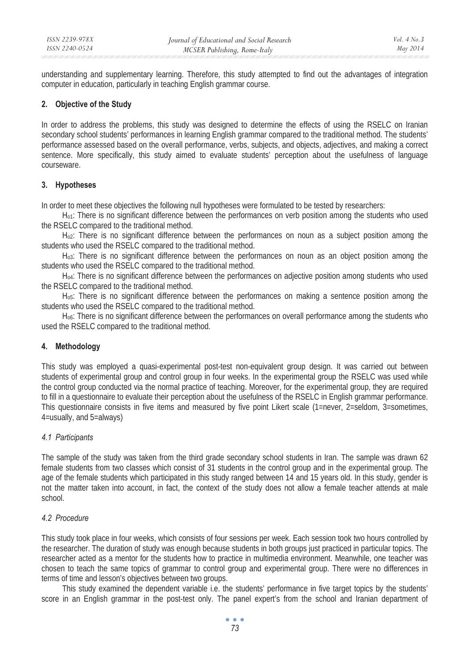understanding and supplementary learning. Therefore, this study attempted to find out the advantages of integration computer in education, particularly in teaching English grammar course.

### **2. Objective of the Study**

In order to address the problems, this study was designed to determine the effects of using the RSELC on Iranian secondary school students' performances in learning English grammar compared to the traditional method. The students' performance assessed based on the overall performance, verbs, subjects, and objects, adjectives, and making a correct sentence. More specifically, this study aimed to evaluate students' perception about the usefulness of language courseware.

### **3. Hypotheses**

In order to meet these objectives the following null hypotheses were formulated to be tested by researchers:

H<sub>01</sub>: There is no significant difference between the performances on verb position among the students who used the RSELC compared to the traditional method.

 $H<sub>02</sub>$ : There is no significant difference between the performances on noun as a subject position among the students who used the RSELC compared to the traditional method.

Ho3: There is no significant difference between the performances on noun as an object position among the students who used the RSELC compared to the traditional method.

Ho4: There is no significant difference between the performances on adjective position among students who used the RSELC compared to the traditional method.

H<sub>o5</sub>: There is no significant difference between the performances on making a sentence position among the students who used the RSELC compared to the traditional method.

Ho6: There is no significant difference between the performances on overall performance among the students who used the RSELC compared to the traditional method.

# **4. Methodology**

This study was employed a quasi-experimental post-test non-equivalent group design. It was carried out between students of experimental group and control group in four weeks. In the experimental group the RSELC was used while the control group conducted via the normal practice of teaching. Moreover, for the experimental group, they are required to fill in a questionnaire to evaluate their perception about the usefulness of the RSELC in English grammar performance. This questionnaire consists in five items and measured by five point Likert scale (1=never, 2=seldom, 3=sometimes, 4=usually, and 5=always)

# *4.1 Participants*

The sample of the study was taken from the third grade secondary school students in Iran. The sample was drawn 62 female students from two classes which consist of 31 students in the control group and in the experimental group. The age of the female students which participated in this study ranged between 14 and 15 years old. In this study, gender is not the matter taken into account, in fact, the context of the study does not allow a female teacher attends at male school.

### *4.2 Procedure*

This study took place in four weeks, which consists of four sessions per week. Each session took two hours controlled by the researcher. The duration of study was enough because students in both groups just practiced in particular topics. The researcher acted as a mentor for the students how to practice in multimedia environment. Meanwhile, one teacher was chosen to teach the same topics of grammar to control group and experimental group. There were no differences in terms of time and lesson's objectives between two groups.

This study examined the dependent variable i.e. the students' performance in five target topics by the students' score in an English grammar in the post-test only. The panel expert's from the school and Iranian department of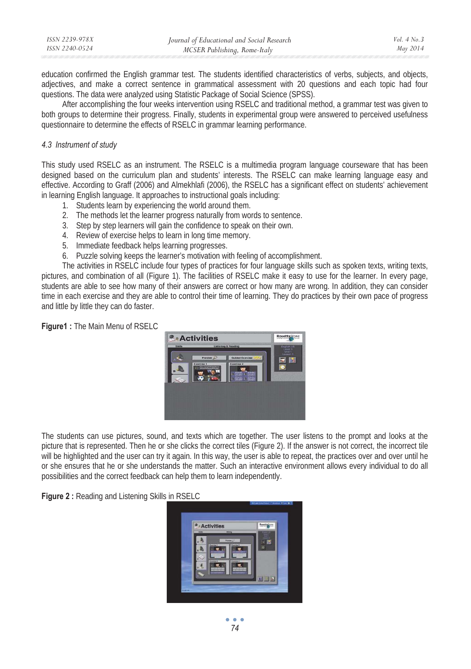| ISSN 2239-978X | Journal of Educational and Social Research | Vol. $4$ No. $3$ |
|----------------|--------------------------------------------|------------------|
| ISSN 2240-0524 | MCSER Publishing, Rome-Italy               | May 2014         |

education confirmed the English grammar test. The students identified characteristics of verbs, subjects, and objects, adjectives, and make a correct sentence in grammatical assessment with 20 questions and each topic had four questions. The data were analyzed using Statistic Package of Social Science (SPSS).

After accomplishing the four weeks intervention using RSELC and traditional method, a grammar test was given to both groups to determine their progress. Finally, students in experimental group were answered to perceived usefulness questionnaire to determine the effects of RSELC in grammar learning performance.

#### *4.3 Instrument of study*

This study used RSELC as an instrument. The RSELC is a multimedia program language courseware that has been designed based on the curriculum plan and students' interests. The RSELC can make learning language easy and effective. According to Graff (2006) and Almekhlafi (2006), the RSELC has a significant effect on students' achievement in learning English language. It approaches to instructional goals including:

- 1. Students learn by experiencing the world around them.
- 2. The methods let the learner progress naturally from words to sentence.
- 3. Step by step learners will gain the confidence to speak on their own.
- 4. Review of exercise helps to learn in long time memory.
- 5. Immediate feedback helps learning progresses.
- 6. Puzzle solving keeps the learner's motivation with feeling of accomplishment.

The activities in RSELC include four types of practices for four language skills such as spoken texts, writing texts, pictures, and combination of all (Figure 1). The facilities of RSELC make it easy to use for the learner. In every page, students are able to see how many of their answers are correct or how many are wrong. In addition, they can consider time in each exercise and they are able to control their time of learning. They do practices by their own pace of progress and little by little they can do faster.

#### **Figure1 :** The Main Menu of RSELC



The students can use pictures, sound, and texts which are together. The user listens to the prompt and looks at the picture that is represented. Then he or she clicks the correct tiles (Figure 2). If the answer is not correct, the incorrect tile will be highlighted and the user can try it again. In this way, the user is able to repeat, the practices over and over until he or she ensures that he or she understands the matter. Such an interactive environment allows every individual to do all possibilities and the correct feedback can help them to learn independently.

**Figure 2 :** Reading and Listening Skills in RSELC

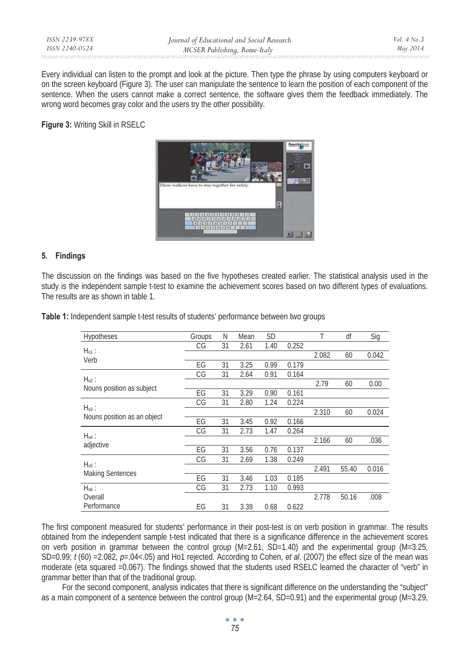Every individual can listen to the prompt and look at the picture. Then type the phrase by using computers keyboard or on the screen keyboard (Figure 3). The user can manipulate the sentence to learn the position of each component of the sentence. When the users cannot make a correct sentence, the software gives them the feedback immediately. The wrong word becomes gray color and the users try the other possibility.

**Figure 3:** Writing Skill in RSELC



### **5. Findings**

The discussion on the findings was based on the five hypotheses created earlier. The statistical analysis used in the study is the independent sample t-test to examine the achievement scores based on two different types of evaluations. The results are as shown in table 1.

| Hypotheses                  | Groups | Ν  | Mean | <b>SD</b> |       | Т     | df    | Sig   |
|-----------------------------|--------|----|------|-----------|-------|-------|-------|-------|
|                             | СG     | 31 | 2.61 | 1.40      | 0.252 |       |       |       |
| $H_{01}$ :<br>Verb          |        |    |      |           |       | 2.082 | 60    | 0.042 |
|                             | EG     | 31 | 3.25 | 0.99      | 0.179 |       |       |       |
| $H_{02}$ :                  | СG     | 31 | 2.64 | 0.91      | 0.164 |       |       |       |
| Nouns position as subject   |        |    |      |           |       | 2.79  | 60    | 0.00  |
|                             | EG     | 31 | 3.29 | 0.90      | 0.161 |       |       |       |
| $H_{03}$ :                  | СG     | 31 | 2.80 | 1.24      | 0.224 |       |       |       |
| Nouns position as an object |        |    |      |           |       | 2.310 | 60    | 0.024 |
|                             | EG     | 31 | 3.45 | 0.92      | 0.166 |       |       |       |
| $H_{04}$ :                  | СG     | 31 | 2.73 | 1.47      | 0.264 |       |       |       |
| adjective                   |        |    |      |           |       | 2.166 | 60    | .036  |
|                             | EG     | 31 | 3.56 | 0.76      | 0.137 |       |       |       |
| $H_{05}$ :                  | СG     | 31 | 2.69 | 1.38      | 0.249 |       |       |       |
| <b>Making Sentences</b>     |        |    |      |           |       | 2.491 | 55.40 | 0.016 |
|                             | EG     | 31 | 3.46 | 1.03      | 0.185 |       |       |       |
| $H_{06}$ :                  | СG     | 31 | 2.73 | 1.10      | 0.993 |       |       |       |
| Overall                     |        |    |      |           |       | 2.778 | 50.16 | .008  |
| Performance                 | EG     | 31 | 3.39 | 0.68      | 0.622 |       |       |       |

**Table 1:** Independent sample t-test results of students' performance between two groups

The first component measured for students' performance in their post-test is on verb position in grammar. The results obtained from the independent sample t-test indicated that there is a significance difference in the achievement scores on verb position in grammar between the control group (M=2.61, SD=1.40) and the experimental group (M=3.25, SD=0.99; *t* (60) =2.082, *p*=.04<.05) and Ho1 rejected. According to Cohen, *et al*. (2007) the effect size of the mean was moderate (eta squared =0.067). The findings showed that the students used RSELC learned the character of "verb" in grammar better than that of the traditional group.

For the second component, analysis indicates that there is significant difference on the understanding the "subject" as a main component of a sentence between the control group (M=2.64, SD=0.91) and the experimental group (M=3.29,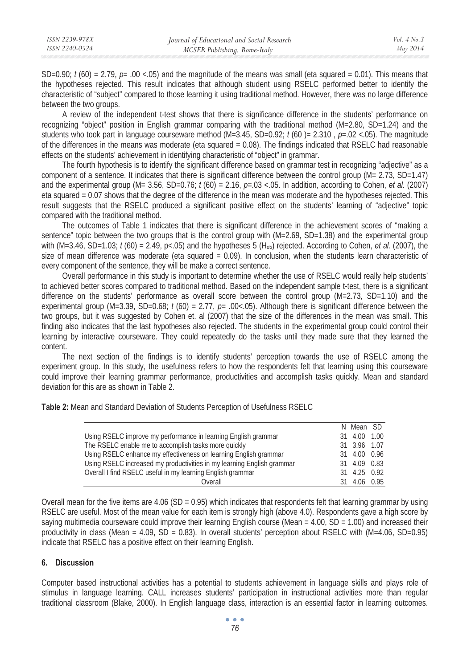| ISSN 2239-978X | Journal of Educational and Social Research | Vol. $4$ No. $3$ |
|----------------|--------------------------------------------|------------------|
| ISSN 2240-0524 | MCSER Publishing, Rome-Italy               | May 2014         |

SD=0.90;  $t$  (60) = 2.79,  $p=$  .00 <.05) and the magnitude of the means was small (eta squared = 0.01). This means that the hypotheses rejected. This result indicates that although student using RSELC performed better to identify the characteristic of "subject" compared to those learning it using traditional method. However, there was no large difference between the two groups.

A review of the independent t-test shows that there is significance difference in the students' performance on recognizing "object" position in English grammar comparing with the traditional method (M=2.80, SD=1.24) and the students who took part in language courseware method (M=3.45, SD=0.92; *t* (60 )= 2.310 , *p*=.02 <.05). The magnitude of the differences in the means was moderate (eta squared = 0.08). The findings indicated that RSELC had reasonable effects on the students' achievement in identifying characteristic of "object" in grammar.

The fourth hypothesis is to identify the significant difference based on grammar test in recognizing "adjective" as a component of a sentence. It indicates that there is significant difference between the control group (M= 2.73, SD=1.47) and the experimental group (M= 3.56, SD=0.76; *t* (60) = 2.16, *p*=.03 <.05. In addition, according to Cohen, *et al.* (2007) eta squared = 0.07 shows that the degree of the difference in the mean was moderate and the hypotheses rejected. This result suggests that the RSELC produced a significant positive effect on the students' learning of "adjective" topic compared with the traditional method.

The outcomes of Table 1 indicates that there is significant difference in the achievement scores of "making a sentence" topic between the two groups that is the control group with  $(M=2.69, SD=1.38)$  and the experimental group with (M=3.46, SD=1.03; *t* (60) = 2.49, p<.05) and the hypotheses 5 (H<sub>o5</sub>) rejected. According to Cohen, *et al.* (2007), the size of mean difference was moderate (eta squared = 0.09). In conclusion, when the students learn characteristic of every component of the sentence, they will be make a correct sentence.

Overall performance in this study is important to determine whether the use of RSELC would really help students' to achieved better scores compared to traditional method. Based on the independent sample t-test, there is a significant difference on the students' performance as overall score between the control group (M=2.73, SD=1.10) and the experimental group (M=3.39, SD=0.68; *t* (60) = 2.77, *p*= .00<.05). Although there is significant difference between the two groups, but it was suggested by Cohen et. al (2007) that the size of the differences in the mean was small. This finding also indicates that the last hypotheses also rejected. The students in the experimental group could control their learning by interactive courseware. They could repeatedly do the tasks until they made sure that they learned the content.

The next section of the findings is to identify students' perception towards the use of RSELC among the experiment group. In this study, the usefulness refers to how the respondents felt that learning using this courseware could improve their learning grammar performance, productivities and accomplish tasks quickly. Mean and standard deviation for this are as shown in Table 2.

**Table 2:** Mean and Standard Deviation of Students Perception of Usefulness RSELC

|                                                                        | N Mean SD    |  |
|------------------------------------------------------------------------|--------------|--|
| Using RSELC improve my performance in learning English grammar         | 31 4.00 1.00 |  |
| The RSELC enable me to accomplish tasks more quickly                   | 31 3.96 1.07 |  |
| Using RSELC enhance my effectiveness on learning English grammar       | 31 4.00 0.96 |  |
| Using RSELC increased my productivities in my learning English grammar | 31 4.09 0.83 |  |
| Overall I find RSELC useful in my learning English grammar             | 31 4.25 0.92 |  |
| Overall                                                                | 31 4.06 0.95 |  |

Overall mean for the five items are  $4.06$  (SD = 0.95) which indicates that respondents felt that learning grammar by using RSELC are useful. Most of the mean value for each item is strongly high (above 4.0). Respondents gave a high score by saying multimedia courseware could improve their learning English course (Mean = 4.00, SD = 1.00) and increased their productivity in class (Mean =  $4.09$ , SD =  $0.83$ ). In overall students' perception about RSELC with (M= $4.06$ , SD= $0.95$ ) indicate that RSELC has a positive effect on their learning English.

### **6. Discussion**

Computer based instructional activities has a potential to students achievement in language skills and plays role of stimulus in language learning. CALL increases students' participation in instructional activities more than regular traditional classroom (Blake, 2000). In English language class, interaction is an essential factor in learning outcomes.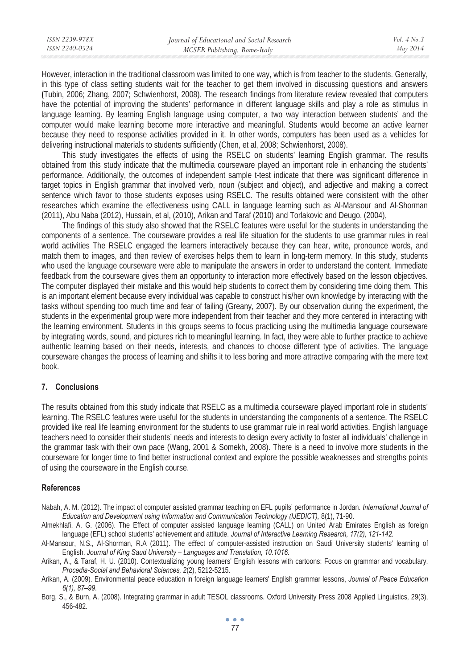| ISSN 2239-978X | Journal of Educational and Social Research | Vol. $4$ No. $3$ |
|----------------|--------------------------------------------|------------------|
| ISSN 2240-0524 | MCSER Publishing, Rome-Italy               | May 2014         |
|                |                                            |                  |

However, interaction in the traditional classroom was limited to one way, which is from teacher to the students. Generally, in this type of class setting students wait for the teacher to get them involved in discussing questions and answers **(**Tubin, 2006; Zhang, 2007; Schwienhorst, 2008). The research findings from literature review revealed that computers have the potential of improving the students' performance in different language skills and play a role as stimulus in language learning. By learning English language using computer, a two way interaction between students' and the computer would make learning become more interactive and meaningful. Students would become an active learner because they need to response activities provided in it. In other words, computers has been used as a vehicles for delivering instructional materials to students sufficiently (Chen, et al, 2008; Schwienhorst, 2008).

This study investigates the effects of using the RSELC on students' learning English grammar. The results obtained from this study indicate that the multimedia courseware played an important role in enhancing the students' performance. Additionally, the outcomes of independent sample t-test indicate that there was significant difference in target topics in English grammar that involved verb, noun (subject and object), and adjective and making a correct sentence which favor to those students exposes using RSELC. The results obtained were consistent with the other researches which examine the effectiveness using CALL in language learning such as Al-Mansour and Al-Shorman (2011), Abu Naba (2012), Hussain, et al, (2010), Arikan and Taraf (2010) and Torlakovic and Deugo, (2004),

The findings of this study also showed that the RSELC features were useful for the students in understanding the components of a sentence. The courseware provides a real life situation for the students to use grammar rules in real world activities The RSELC engaged the learners interactively because they can hear, write, pronounce words, and match them to images, and then review of exercises helps them to learn in long-term memory. In this study, students who used the language courseware were able to manipulate the answers in order to understand the content. Immediate feedback from the courseware gives them an opportunity to interaction more effectively based on the lesson objectives. The computer displayed their mistake and this would help students to correct them by considering time doing them. This is an important element because every individual was capable to construct his/her own knowledge by interacting with the tasks without spending too much time and fear of failing (Greany, 2007). By our observation during the experiment, the students in the experimental group were more independent from their teacher and they more centered in interacting with the learning environment. Students in this groups seems to focus practicing using the multimedia language courseware by integrating words, sound, and pictures rich to meaningful learning. In fact, they were able to further practice to achieve authentic learning based on their needs, interests, and chances to choose different type of activities. The language courseware changes the process of learning and shifts it to less boring and more attractive comparing with the mere text book.

#### **7. Conclusions**

The results obtained from this study indicate that RSELC as a multimedia courseware played important role in students' learning. The RSELC features were useful for the students in understanding the components of a sentence. The RSELC provided like real life learning environment for the students to use grammar rule in real world activities. English language teachers need to consider their students' needs and interests to design every activity to foster all individuals' challenge in the grammar task with their own pace (Wang, 2001 & Somekh, 2008). There is a need to involve more students in the courseware for longer time to find better instructional context and explore the possible weaknesses and strengths points of using the courseware in the English course.

#### **References**

Nabah, A. M. (2012). The impact of computer assisted grammar teaching on EFL pupils' performance in Jordan. *International Journal of Education and Development using Information and Communication Technology (IJEDICT),* 8(1), 71-90.

Almekhlafi, A. G. (2006). The Effect of computer assisted language learning (CALL) on United Arab Emirates English as foreign language (EFL) school students' achievement and attitude. *Journal of Interactive Learning Research, 17(2), 121-142.*

Al-Mansour, N.S., Al-Shorman, R.A (2011). The effect of computer-assisted instruction on Saudi University students' learning of English. *Journal of King Saud University – Languages and Translation, 10.1016.* 

Arikan, A., & Taraf, H. U. (2010). Contextualizing young learners' English lessons with cartoons: Focus on grammar and vocabulary. *Procedia-Social and Behavioral Sciences, 2*(2), 5212-5215.

Arikan, A. (2009). Environmental peace education in foreign language learners' English grammar lessons, *Journal of Peace Education 6(1), 87–99*.

Borg, S., & Burn, A. (2008). Integrating grammar in adult TESOL classrooms. Oxford University Press 2008 Applied Linguistics, 29(3), 456-482.